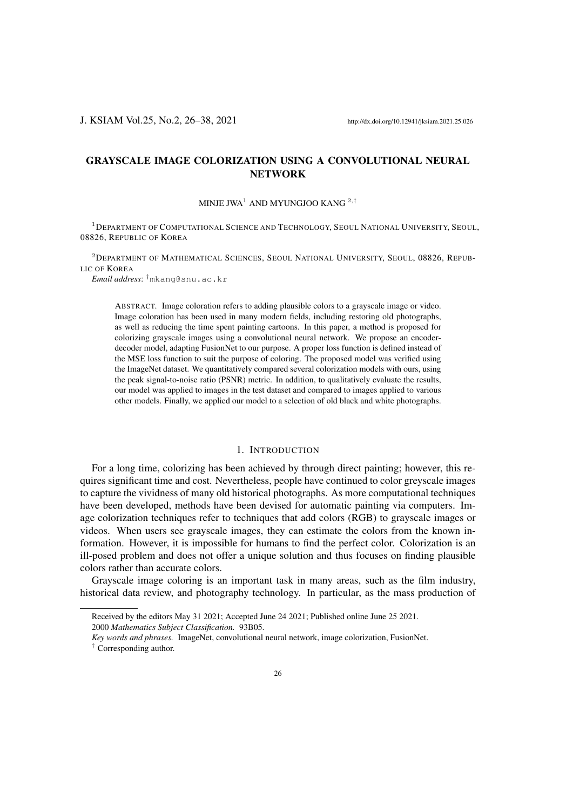J. KSIAM Vol.25, No.2, 26–38, 2021 http://dx.doi.org/10.12941/jksiam.2021.25.026

# GRAYSCALE IMAGE COLORIZATION USING A CONVOLUTIONAL NEURAL **NETWORK**

MINJE JWA<sup>1</sup> AND MYUNGJOO KANG<sup>2,†</sup>

<sup>1</sup>DEPARTMENT OF COMPUTATIONAL SCIENCE AND TECHNOLOGY, SEOUL NATIONAL UNIVERSITY, SEOUL, 08826, REPUBLIC OF KOREA

<sup>2</sup>DEPARTMENT OF MATHEMATICAL SCIENCES, SEOUL NATIONAL UNIVERSITY, SEOUL, 08826, REPUB-LIC OF KOREA

*Email address*: †mkang@snu.ac.kr

ABSTRACT. Image coloration refers to adding plausible colors to a grayscale image or video. Image coloration has been used in many modern fields, including restoring old photographs, as well as reducing the time spent painting cartoons. In this paper, a method is proposed for colorizing grayscale images using a convolutional neural network. We propose an encoderdecoder model, adapting FusionNet to our purpose. A proper loss function is defined instead of the MSE loss function to suit the purpose of coloring. The proposed model was verified using the ImageNet dataset. We quantitatively compared several colorization models with ours, using the peak signal-to-noise ratio (PSNR) metric. In addition, to qualitatively evaluate the results, our model was applied to images in the test dataset and compared to images applied to various other models. Finally, we applied our model to a selection of old black and white photographs.

## 1. INTRODUCTION

For a long time, colorizing has been achieved by through direct painting; however, this requires significant time and cost. Nevertheless, people have continued to color greyscale images to capture the vividness of many old historical photographs. As more computational techniques have been developed, methods have been devised for automatic painting via computers. Image colorization techniques refer to techniques that add colors (RGB) to grayscale images or videos. When users see grayscale images, they can estimate the colors from the known information. However, it is impossible for humans to find the perfect color. Colorization is an ill-posed problem and does not offer a unique solution and thus focuses on finding plausible colors rather than accurate colors.

Grayscale image coloring is an important task in many areas, such as the film industry, historical data review, and photography technology. In particular, as the mass production of

2000 *Mathematics Subject Classification.* 93B05.

Received by the editors May 31 2021; Accepted June 24 2021; Published online June 25 2021.

*Key words and phrases.* ImageNet, convolutional neural network, image colorization, FusionNet. † Corresponding author.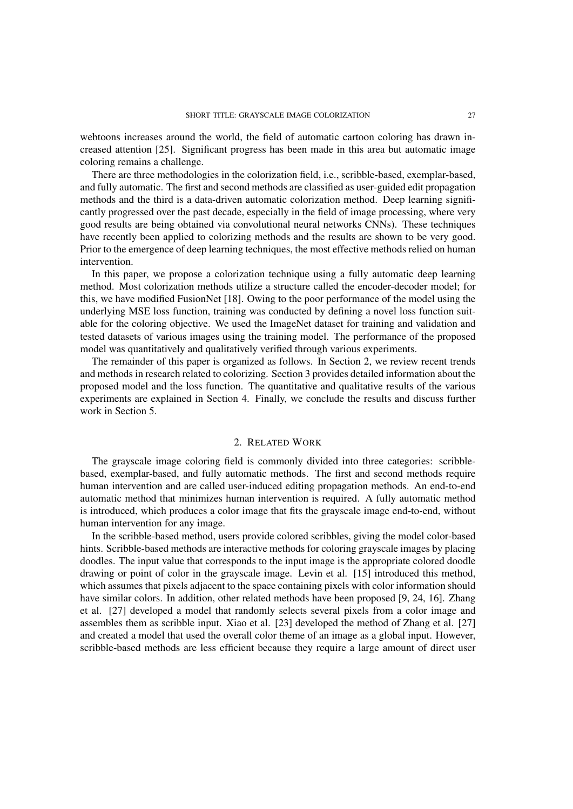webtoons increases around the world, the field of automatic cartoon coloring has drawn increased attention [25]. Significant progress has been made in this area but automatic image coloring remains a challenge.

There are three methodologies in the colorization field, i.e., scribble-based, exemplar-based, and fully automatic. The first and second methods are classified as user-guided edit propagation methods and the third is a data-driven automatic colorization method. Deep learning significantly progressed over the past decade, especially in the field of image processing, where very good results are being obtained via convolutional neural networks CNNs). These techniques have recently been applied to colorizing methods and the results are shown to be very good. Prior to the emergence of deep learning techniques, the most effective methods relied on human intervention.

In this paper, we propose a colorization technique using a fully automatic deep learning method. Most colorization methods utilize a structure called the encoder-decoder model; for this, we have modified FusionNet [18]. Owing to the poor performance of the model using the underlying MSE loss function, training was conducted by defining a novel loss function suitable for the coloring objective. We used the ImageNet dataset for training and validation and tested datasets of various images using the training model. The performance of the proposed model was quantitatively and qualitatively verified through various experiments.

The remainder of this paper is organized as follows. In Section 2, we review recent trends and methods in research related to colorizing. Section 3 provides detailed information about the proposed model and the loss function. The quantitative and qualitative results of the various experiments are explained in Section 4. Finally, we conclude the results and discuss further work in Section 5.

## 2. RELATED WORK

The grayscale image coloring field is commonly divided into three categories: scribblebased, exemplar-based, and fully automatic methods. The first and second methods require human intervention and are called user-induced editing propagation methods. An end-to-end automatic method that minimizes human intervention is required. A fully automatic method is introduced, which produces a color image that fits the grayscale image end-to-end, without human intervention for any image.

In the scribble-based method, users provide colored scribbles, giving the model color-based hints. Scribble-based methods are interactive methods for coloring grayscale images by placing doodles. The input value that corresponds to the input image is the appropriate colored doodle drawing or point of color in the grayscale image. Levin et al. [15] introduced this method, which assumes that pixels adjacent to the space containing pixels with color information should have similar colors. In addition, other related methods have been proposed [9, 24, 16]. Zhang et al. [27] developed a model that randomly selects several pixels from a color image and assembles them as scribble input. Xiao et al. [23] developed the method of Zhang et al. [27] and created a model that used the overall color theme of an image as a global input. However, scribble-based methods are less efficient because they require a large amount of direct user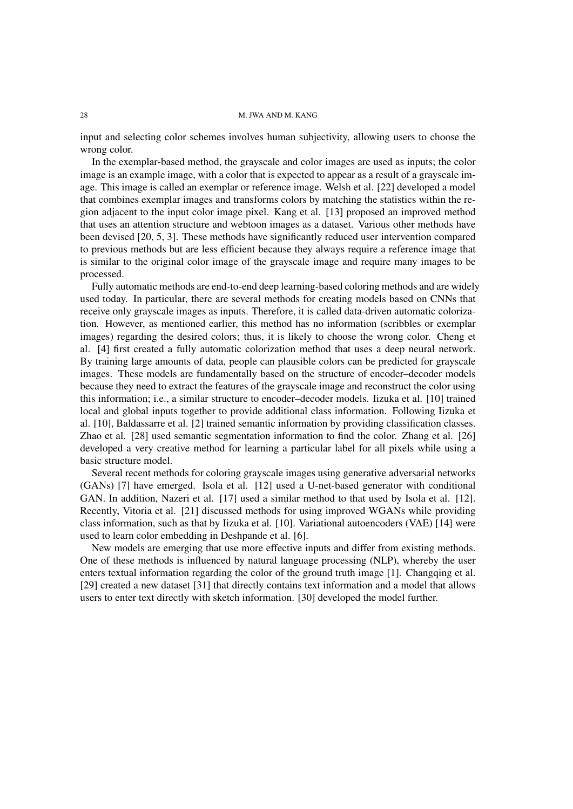input and selecting color schemes involves human subjectivity, allowing users to choose the wrong color.

In the exemplar-based method, the grayscale and color images are used as inputs; the color image is an example image, with a color that is expected to appear as a result of a grayscale image. This image is called an exemplar or reference image. Welsh et al. [22] developed a model that combines exemplar images and transforms colors by matching the statistics within the region adjacent to the input color image pixel. Kang et al. [13] proposed an improved method that uses an attention structure and webtoon images as a dataset. Various other methods have been devised [20, 5, 3]. These methods have significantly reduced user intervention compared to previous methods but are less efficient because they always require a reference image that is similar to the original color image of the grayscale image and require many images to be processed.

Fully automatic methods are end-to-end deep learning-based coloring methods and are widely used today. In particular, there are several methods for creating models based on CNNs that receive only grayscale images as inputs. Therefore, it is called data-driven automatic colorization. However, as mentioned earlier, this method has no information (scribbles or exemplar images) regarding the desired colors; thus, it is likely to choose the wrong color. Cheng et al. [4] first created a fully automatic colorization method that uses a deep neural network. By training large amounts of data, people can plausible colors can be predicted for grayscale images. These models are fundamentally based on the structure of encoder–decoder models because they need to extract the features of the grayscale image and reconstruct the color using this information; i.e., a similar structure to encoder–decoder models. Iizuka et al. [10] trained local and global inputs together to provide additional class information. Following Iizuka et al. [10], Baldassarre et al. [2] trained semantic information by providing classification classes. Zhao et al. [28] used semantic segmentation information to find the color. Zhang et al. [26] developed a very creative method for learning a particular label for all pixels while using a basic structure model.

Several recent methods for coloring grayscale images using generative adversarial networks (GANs) [7] have emerged. Isola et al. [12] used a U-net-based generator with conditional GAN. In addition, Nazeri et al. [17] used a similar method to that used by Isola et al. [12]. Recently, Vitoria et al. [21] discussed methods for using improved WGANs while providing class information, such as that by Iizuka et al. [10]. Variational autoencoders (VAE) [14] were used to learn color embedding in Deshpande et al. [6].

New models are emerging that use more effective inputs and differ from existing methods. One of these methods is influenced by natural language processing (NLP), whereby the user enters textual information regarding the color of the ground truth image [1]. Changqing et al. [29] created a new dataset [31] that directly contains text information and a model that allows users to enter text directly with sketch information. [30] developed the model further.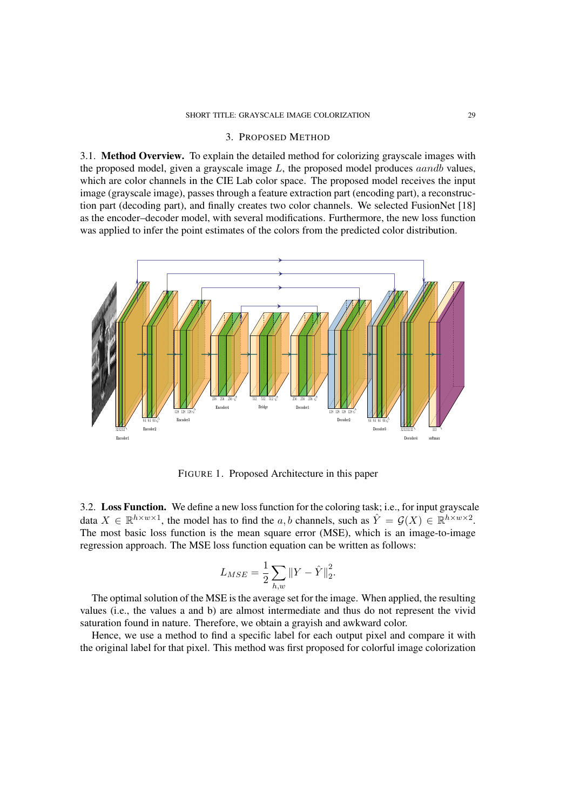## 3. PROPOSED METHOD

3.1. Method Overview. To explain the detailed method for colorizing grayscale images with the proposed model, given a grayscale image  $L$ , the proposed model produces *aandb* values, which are color channels in the CIE Lab color space. The proposed model receives the input image (grayscale image), passes through a feature extraction part (encoding part), a reconstruction part (decoding part), and finally creates two color channels. We selected FusionNet [18] as the encoder–decoder model, with several modifications. Furthermore, the new loss function was applied to infer the point estimates of the colors from the predicted color distribution.



FIGURE 1. Proposed Architecture in this paper

3.2. Loss Function. We define a new loss function for the coloring task; i.e., for input grayscale data  $X \in \mathbb{R}^{h \times w \times 1}$ , the model has to find the a, b channels, such as  $\hat{Y} = \mathcal{G}(X) \in \mathbb{R}^{h \times w \times 2}$ . The most basic loss function is the mean square error (MSE), which is an image-to-image regression approach. The MSE loss function equation can be written as follows:

$$
L_{MSE} = \frac{1}{2} \sum_{h,w} \left\| Y - \hat{Y} \right\|_2^2.
$$

The optimal solution of the MSE is the average set for the image. When applied, the resulting values (i.e., the values a and b) are almost intermediate and thus do not represent the vivid saturation found in nature. Therefore, we obtain a grayish and awkward color.

Hence, we use a method to find a specific label for each output pixel and compare it with the original label for that pixel. This method was first proposed for colorful image colorization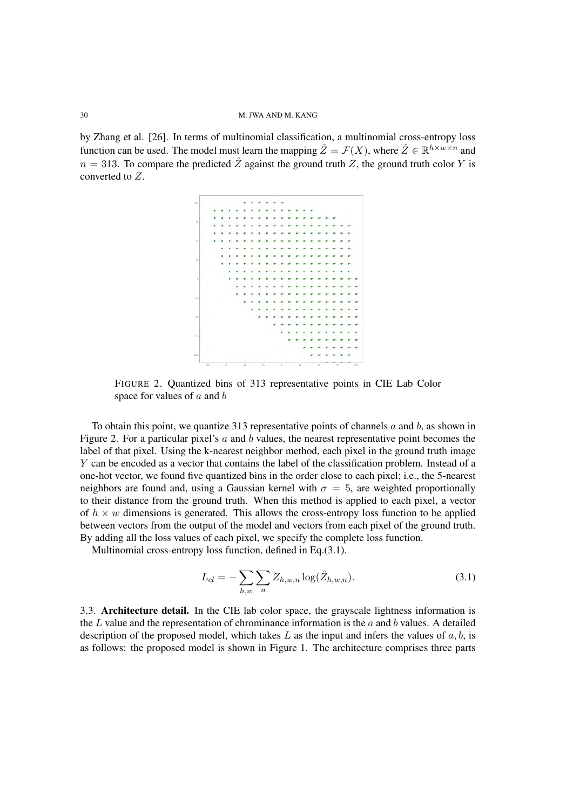by Zhang et al. [26]. In terms of multinomial classification, a multinomial cross-entropy loss function can be used. The model must learn the mapping  $\hat{Z} = \mathcal{F}(X)$ , where  $\hat{Z} \in \mathbb{R}^{h \times w \times n}$  and  $n = 313$ . To compare the predicted  $\hat{Z}$  against the ground truth Z, the ground truth color Y is converted to Z.



FIGURE 2. Quantized bins of 313 representative points in CIE Lab Color space for values of  $a$  and  $b$ 

To obtain this point, we quantize 313 representative points of channels  $a$  and  $b$ , as shown in Figure 2. For a particular pixel's  $a$  and  $b$  values, the nearest representative point becomes the label of that pixel. Using the k-nearest neighbor method, each pixel in the ground truth image Y can be encoded as a vector that contains the label of the classification problem. Instead of a one-hot vector, we found five quantized bins in the order close to each pixel; i.e., the 5-nearest neighbors are found and, using a Gaussian kernel with  $\sigma = 5$ , are weighted proportionally to their distance from the ground truth. When this method is applied to each pixel, a vector of  $h \times w$  dimensions is generated. This allows the cross-entropy loss function to be applied between vectors from the output of the model and vectors from each pixel of the ground truth. By adding all the loss values of each pixel, we specify the complete loss function.

Multinomial cross-entropy loss function, defined in Eq.(3.1).

$$
L_{cl} = -\sum_{h,w} \sum_{n} Z_{h,w,n} \log(\hat{Z}_{h,w,n}).
$$
\n(3.1)

3.3. Architecture detail. In the CIE lab color space, the grayscale lightness information is the  $L$  value and the representation of chrominance information is the  $a$  and  $b$  values. A detailed description of the proposed model, which takes  $L$  as the input and infers the values of  $a, b$ , is as follows: the proposed model is shown in Figure 1. The architecture comprises three parts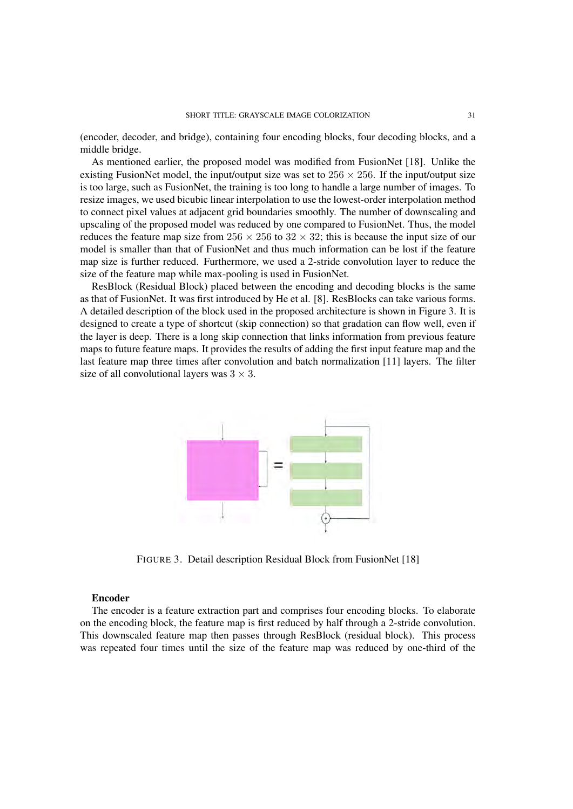(encoder, decoder, and bridge), containing four encoding blocks, four decoding blocks, and a middle bridge.

As mentioned earlier, the proposed model was modified from FusionNet [18]. Unlike the existing FusionNet model, the input/output size was set to  $256 \times 256$ . If the input/output size is too large, such as FusionNet, the training is too long to handle a large number of images. To resize images, we used bicubic linear interpolation to use the lowest-order interpolation method to connect pixel values at adjacent grid boundaries smoothly. The number of downscaling and upscaling of the proposed model was reduced by one compared to FusionNet. Thus, the model reduces the feature map size from  $256 \times 256$  to  $32 \times 32$ ; this is because the input size of our model is smaller than that of FusionNet and thus much information can be lost if the feature map size is further reduced. Furthermore, we used a 2-stride convolution layer to reduce the size of the feature map while max-pooling is used in FusionNet.

ResBlock (Residual Block) placed between the encoding and decoding blocks is the same as that of FusionNet. It was first introduced by He et al. [8]. ResBlocks can take various forms. A detailed description of the block used in the proposed architecture is shown in Figure 3. It is designed to create a type of shortcut (skip connection) so that gradation can flow well, even if the layer is deep. There is a long skip connection that links information from previous feature maps to future feature maps. It provides the results of adding the first input feature map and the last feature map three times after convolution and batch normalization [11] layers. The filter size of all convolutional layers was  $3 \times 3$ .



FIGURE 3. Detail description Residual Block from FusionNet [18]

## Encoder

The encoder is a feature extraction part and comprises four encoding blocks. To elaborate on the encoding block, the feature map is first reduced by half through a 2-stride convolution. This downscaled feature map then passes through ResBlock (residual block). This process was repeated four times until the size of the feature map was reduced by one-third of the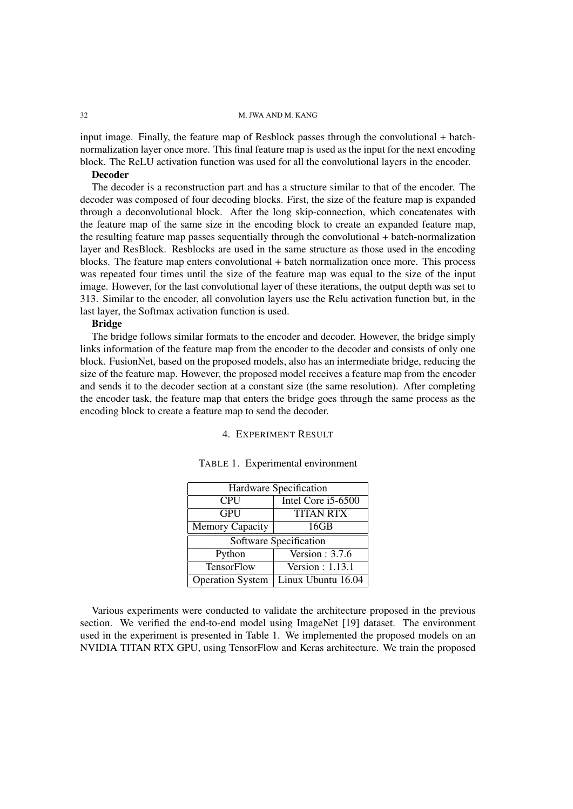input image. Finally, the feature map of Resblock passes through the convolutional + batchnormalization layer once more. This final feature map is used as the input for the next encoding block. The ReLU activation function was used for all the convolutional layers in the encoder.

## Decoder

The decoder is a reconstruction part and has a structure similar to that of the encoder. The decoder was composed of four decoding blocks. First, the size of the feature map is expanded through a deconvolutional block. After the long skip-connection, which concatenates with the feature map of the same size in the encoding block to create an expanded feature map, the resulting feature map passes sequentially through the convolutional + batch-normalization layer and ResBlock. Resblocks are used in the same structure as those used in the encoding blocks. The feature map enters convolutional + batch normalization once more. This process was repeated four times until the size of the feature map was equal to the size of the input image. However, for the last convolutional layer of these iterations, the output depth was set to 313. Similar to the encoder, all convolution layers use the Relu activation function but, in the last layer, the Softmax activation function is used.

## Bridge

The bridge follows similar formats to the encoder and decoder. However, the bridge simply links information of the feature map from the encoder to the decoder and consists of only one block. FusionNet, based on the proposed models, also has an intermediate bridge, reducing the size of the feature map. However, the proposed model receives a feature map from the encoder and sends it to the decoder section at a constant size (the same resolution). After completing the encoder task, the feature map that enters the bridge goes through the same process as the encoding block to create a feature map to send the decoder.

#### 4. EXPERIMENT RESULT

| Hardware Specification  |                    |  |
|-------------------------|--------------------|--|
| <b>CPU</b>              | Intel Core i5-6500 |  |
| <b>GPU</b>              | <b>TITAN RTX</b>   |  |
| <b>Memory Capacity</b>  | 16GB               |  |
| Software Specification  |                    |  |
| Python                  | Version: $3.7.6$   |  |
| TensorFlow              | Version: 1.13.1    |  |
| <b>Operation System</b> | Linux Ubuntu 16.04 |  |

### TABLE 1. Experimental environment

Various experiments were conducted to validate the architecture proposed in the previous section. We verified the end-to-end model using ImageNet [19] dataset. The environment used in the experiment is presented in Table 1. We implemented the proposed models on an NVIDIA TITAN RTX GPU, using TensorFlow and Keras architecture. We train the proposed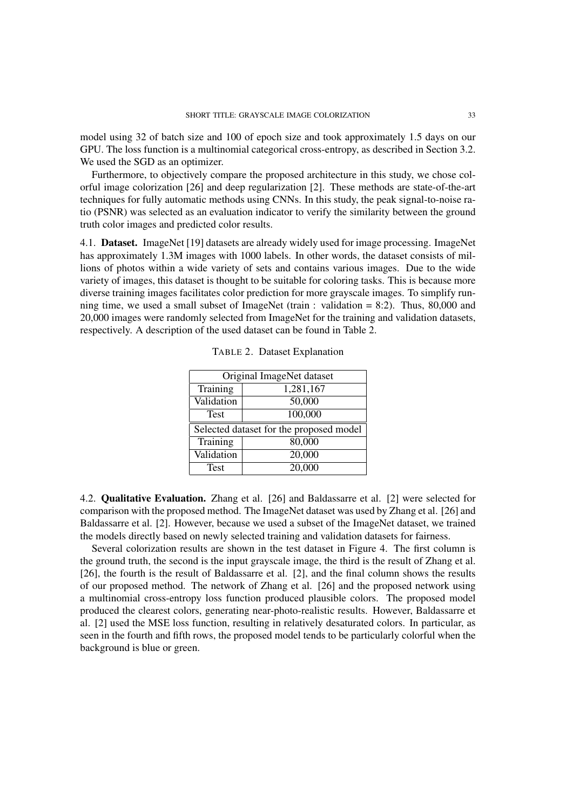model using 32 of batch size and 100 of epoch size and took approximately 1.5 days on our GPU. The loss function is a multinomial categorical cross-entropy, as described in Section 3.2. We used the SGD as an optimizer.

Furthermore, to objectively compare the proposed architecture in this study, we chose colorful image colorization [26] and deep regularization [2]. These methods are state-of-the-art techniques for fully automatic methods using CNNs. In this study, the peak signal-to-noise ratio (PSNR) was selected as an evaluation indicator to verify the similarity between the ground truth color images and predicted color results.

4.1. Dataset. ImageNet [19] datasets are already widely used for image processing. ImageNet has approximately 1.3M images with 1000 labels. In other words, the dataset consists of millions of photos within a wide variety of sets and contains various images. Due to the wide variety of images, this dataset is thought to be suitable for coloring tasks. This is because more diverse training images facilitates color prediction for more grayscale images. To simplify running time, we used a small subset of ImageNet (train : validation  $= 8:2$ ). Thus, 80,000 and 20,000 images were randomly selected from ImageNet for the training and validation datasets, respectively. A description of the used dataset can be found in Table 2.

| Original ImageNet dataset               |           |  |
|-----------------------------------------|-----------|--|
| Training                                | 1,281,167 |  |
| Validation                              | 50,000    |  |
| <b>Test</b>                             | 100,000   |  |
| Selected dataset for the proposed model |           |  |
| Training                                | 80,000    |  |
| Validation                              | 20,000    |  |
| <b>Test</b>                             | 20,000    |  |

TABLE 2. Dataset Explanation

4.2. Qualitative Evaluation. Zhang et al. [26] and Baldassarre et al. [2] were selected for comparison with the proposed method. The ImageNet dataset was used by Zhang et al. [26] and Baldassarre et al. [2]. However, because we used a subset of the ImageNet dataset, we trained the models directly based on newly selected training and validation datasets for fairness.

Several colorization results are shown in the test dataset in Figure 4. The first column is the ground truth, the second is the input grayscale image, the third is the result of Zhang et al. [26], the fourth is the result of Baldassarre et al. [2], and the final column shows the results of our proposed method. The network of Zhang et al. [26] and the proposed network using a multinomial cross-entropy loss function produced plausible colors. The proposed model produced the clearest colors, generating near-photo-realistic results. However, Baldassarre et al. [2] used the MSE loss function, resulting in relatively desaturated colors. In particular, as seen in the fourth and fifth rows, the proposed model tends to be particularly colorful when the background is blue or green.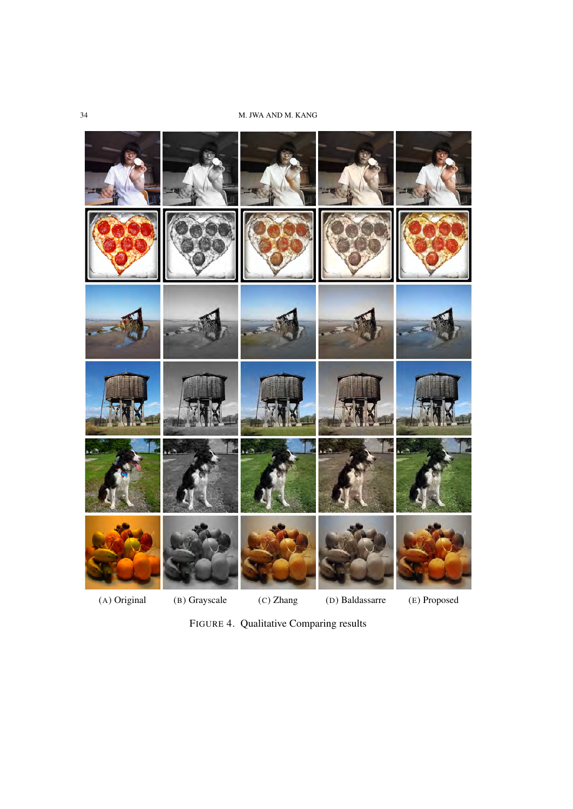

FIGURE 4. Qualitative Comparing results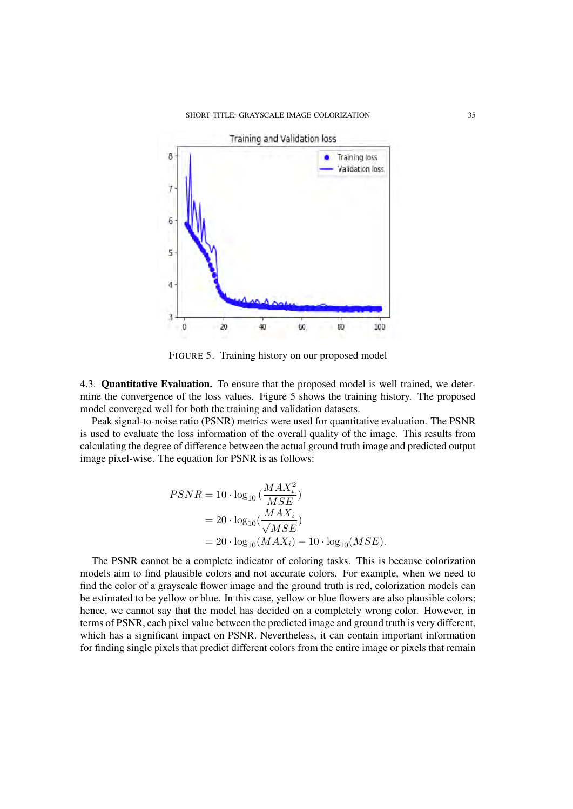

FIGURE 5. Training history on our proposed model

4.3. Quantitative Evaluation. To ensure that the proposed model is well trained, we determine the convergence of the loss values. Figure 5 shows the training history. The proposed model converged well for both the training and validation datasets.

Peak signal-to-noise ratio (PSNR) metrics were used for quantitative evaluation. The PSNR is used to evaluate the loss information of the overall quality of the image. This results from calculating the degree of difference between the actual ground truth image and predicted output image pixel-wise. The equation for PSNR is as follows:

$$
PSNR = 10 \cdot \log_{10} \left( \frac{MAX_i^2}{MSE} \right)
$$
  
= 20 \cdot \log\_{10} \left( \frac{MAX\_i}{\sqrt{MSE}} \right)  
= 20 \cdot \log\_{10} (MAX\_i) - 10 \cdot \log\_{10} (MSE).

The PSNR cannot be a complete indicator of coloring tasks. This is because colorization models aim to find plausible colors and not accurate colors. For example, when we need to find the color of a grayscale flower image and the ground truth is red, colorization models can be estimated to be yellow or blue. In this case, yellow or blue flowers are also plausible colors; hence, we cannot say that the model has decided on a completely wrong color. However, in terms of PSNR, each pixel value between the predicted image and ground truth is very different, which has a significant impact on PSNR. Nevertheless, it can contain important information for finding single pixels that predict different colors from the entire image or pixels that remain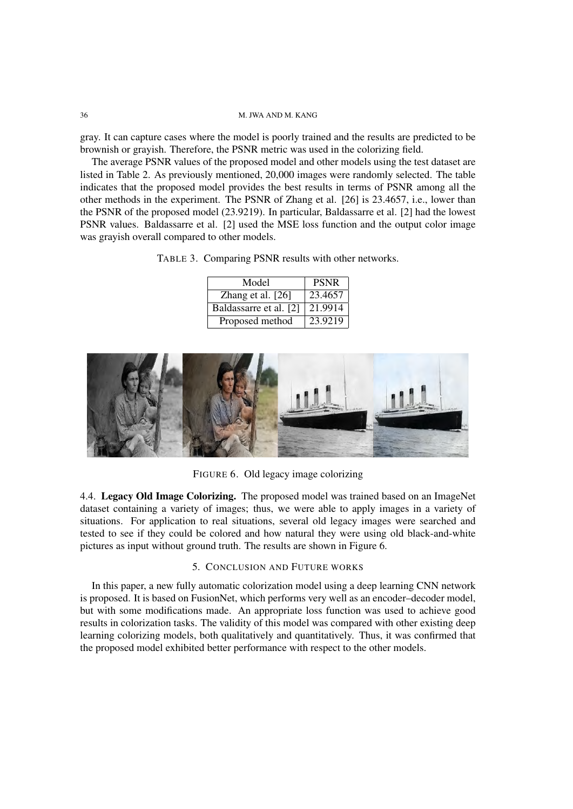gray. It can capture cases where the model is poorly trained and the results are predicted to be brownish or grayish. Therefore, the PSNR metric was used in the colorizing field.

The average PSNR values of the proposed model and other models using the test dataset are listed in Table 2. As previously mentioned, 20,000 images were randomly selected. The table indicates that the proposed model provides the best results in terms of PSNR among all the other methods in the experiment. The PSNR of Zhang et al. [26] is 23.4657, i.e., lower than the PSNR of the proposed model (23.9219). In particular, Baldassarre et al. [2] had the lowest PSNR values. Baldassarre et al. [2] used the MSE loss function and the output color image was grayish overall compared to other models.

TABLE 3. Comparing PSNR results with other networks.

| Model                  | <b>PSNR</b>          |
|------------------------|----------------------|
| Zhang et al. $[26]$    | 23.4657              |
| Baldassarre et al. [2] | $21.99\overline{14}$ |
| Proposed method        | 23.9219              |



FIGURE 6. Old legacy image colorizing

4.4. Legacy Old Image Colorizing. The proposed model was trained based on an ImageNet dataset containing a variety of images; thus, we were able to apply images in a variety of situations. For application to real situations, several old legacy images were searched and tested to see if they could be colored and how natural they were using old black-and-white pictures as input without ground truth. The results are shown in Figure 6.

## 5. CONCLUSION AND FUTURE WORKS

In this paper, a new fully automatic colorization model using a deep learning CNN network is proposed. It is based on FusionNet, which performs very well as an encoder–decoder model, but with some modifications made. An appropriate loss function was used to achieve good results in colorization tasks. The validity of this model was compared with other existing deep learning colorizing models, both qualitatively and quantitatively. Thus, it was confirmed that the proposed model exhibited better performance with respect to the other models.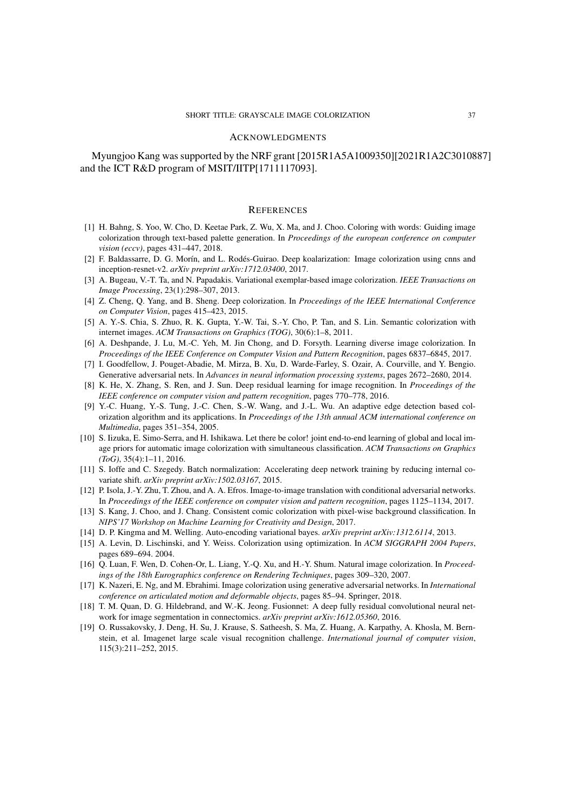### ACKNOWLEDGMENTS

Myungjoo Kang was supported by the NRF grant [2015R1A5A1009350][2021R1A2C3010887] and the ICT R&D program of MSIT/IITP[1711117093].

## **REFERENCES**

- [1] H. Bahng, S. Yoo, W. Cho, D. Keetae Park, Z. Wu, X. Ma, and J. Choo. Coloring with words: Guiding image colorization through text-based palette generation. In *Proceedings of the european conference on computer vision (eccv)*, pages 431–447, 2018.
- [2] F. Baldassarre, D. G. Morín, and L. Rodés-Guirao. Deep koalarization: Image colorization using cnns and inception-resnet-v2. *arXiv preprint arXiv:1712.03400*, 2017.
- [3] A. Bugeau, V.-T. Ta, and N. Papadakis. Variational exemplar-based image colorization. *IEEE Transactions on Image Processing*, 23(1):298–307, 2013.
- [4] Z. Cheng, Q. Yang, and B. Sheng. Deep colorization. In *Proceedings of the IEEE International Conference on Computer Vision*, pages 415–423, 2015.
- [5] A. Y.-S. Chia, S. Zhuo, R. K. Gupta, Y.-W. Tai, S.-Y. Cho, P. Tan, and S. Lin. Semantic colorization with internet images. *ACM Transactions on Graphics (TOG)*, 30(6):1–8, 2011.
- [6] A. Deshpande, J. Lu, M.-C. Yeh, M. Jin Chong, and D. Forsyth. Learning diverse image colorization. In *Proceedings of the IEEE Conference on Computer Vision and Pattern Recognition*, pages 6837–6845, 2017.
- [7] I. Goodfellow, J. Pouget-Abadie, M. Mirza, B. Xu, D. Warde-Farley, S. Ozair, A. Courville, and Y. Bengio. Generative adversarial nets. In *Advances in neural information processing systems*, pages 2672–2680, 2014.
- [8] K. He, X. Zhang, S. Ren, and J. Sun. Deep residual learning for image recognition. In *Proceedings of the IEEE conference on computer vision and pattern recognition*, pages 770–778, 2016.
- [9] Y.-C. Huang, Y.-S. Tung, J.-C. Chen, S.-W. Wang, and J.-L. Wu. An adaptive edge detection based colorization algorithm and its applications. In *Proceedings of the 13th annual ACM international conference on Multimedia*, pages 351–354, 2005.
- [10] S. Iizuka, E. Simo-Serra, and H. Ishikawa. Let there be color! joint end-to-end learning of global and local image priors for automatic image colorization with simultaneous classification. *ACM Transactions on Graphics (ToG)*, 35(4):1–11, 2016.
- [11] S. Ioffe and C. Szegedy. Batch normalization: Accelerating deep network training by reducing internal covariate shift. *arXiv preprint arXiv:1502.03167*, 2015.
- [12] P. Isola, J.-Y. Zhu, T. Zhou, and A. A. Efros. Image-to-image translation with conditional adversarial networks. In *Proceedings of the IEEE conference on computer vision and pattern recognition*, pages 1125–1134, 2017.
- [13] S. Kang, J. Choo, and J. Chang. Consistent comic colorization with pixel-wise background classification. In *NIPS'17 Workshop on Machine Learning for Creativity and Design*, 2017.
- [14] D. P. Kingma and M. Welling. Auto-encoding variational bayes. *arXiv preprint arXiv:1312.6114*, 2013.
- [15] A. Levin, D. Lischinski, and Y. Weiss. Colorization using optimization. In *ACM SIGGRAPH 2004 Papers*, pages 689–694. 2004.
- [16] Q. Luan, F. Wen, D. Cohen-Or, L. Liang, Y.-Q. Xu, and H.-Y. Shum. Natural image colorization. In *Proceedings of the 18th Eurographics conference on Rendering Techniques*, pages 309–320, 2007.
- [17] K. Nazeri, E. Ng, and M. Ebrahimi. Image colorization using generative adversarial networks. In *International conference on articulated motion and deformable objects*, pages 85–94. Springer, 2018.
- [18] T. M. Quan, D. G. Hildebrand, and W.-K. Jeong. Fusionnet: A deep fully residual convolutional neural network for image segmentation in connectomics. *arXiv preprint arXiv:1612.05360*, 2016.
- [19] O. Russakovsky, J. Deng, H. Su, J. Krause, S. Satheesh, S. Ma, Z. Huang, A. Karpathy, A. Khosla, M. Bernstein, et al. Imagenet large scale visual recognition challenge. *International journal of computer vision*, 115(3):211–252, 2015.